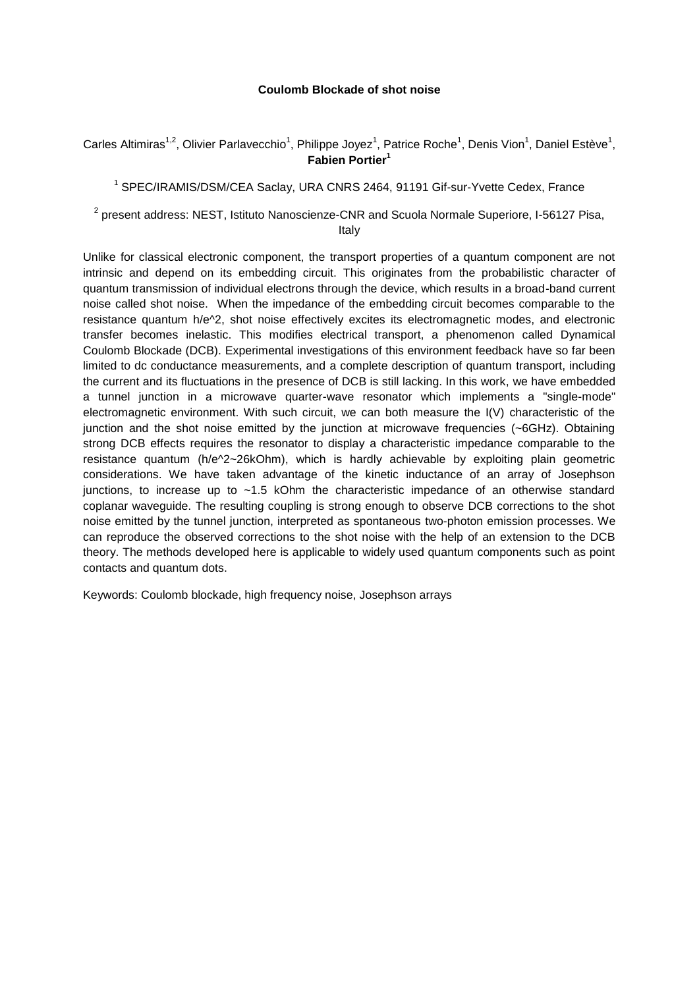## **Coulomb Blockade of shot noise**

Carles Altimiras<sup>1,2</sup>, Olivier Parlavecchio<sup>1</sup>, Philippe Joyez<sup>1</sup>, Patrice Roche<sup>1</sup>, Denis Vion<sup>1</sup>, Daniel Estève<sup>1</sup>, **Fabien Portier<sup>1</sup>**

<sup>1</sup> SPEC/IRAMIS/DSM/CEA Saclay, URA CNRS 2464, 91191 Gif-sur-Yvette Cedex, France

 $2$  present address: NEST, Istituto Nanoscienze-CNR and Scuola Normale Superiore, I-56127 Pisa, Italy

Unlike for classical electronic component, the transport properties of a quantum component are not intrinsic and depend on its embedding circuit. This originates from the probabilistic character of quantum transmission of individual electrons through the device, which results in a broad-band current noise called shot noise. When the impedance of the embedding circuit becomes comparable to the resistance quantum h/e^2, shot noise effectively excites its electromagnetic modes, and electronic transfer becomes inelastic. This modifies electrical transport, a phenomenon called Dynamical Coulomb Blockade (DCB). Experimental investigations of this environment feedback have so far been limited to dc conductance measurements, and a complete description of quantum transport, including the current and its fluctuations in the presence of DCB is still lacking. In this work, we have embedded a tunnel junction in a microwave quarter-wave resonator which implements a "single-mode" electromagnetic environment. With such circuit, we can both measure the I(V) characteristic of the junction and the shot noise emitted by the junction at microwave frequencies (~6GHz). Obtaining strong DCB effects requires the resonator to display a characteristic impedance comparable to the resistance quantum (h/e^2~26kOhm), which is hardly achievable by exploiting plain geometric considerations. We have taken advantage of the kinetic inductance of an array of Josephson junctions, to increase up to  $\sim$  1.5 kOhm the characteristic impedance of an otherwise standard coplanar waveguide. The resulting coupling is strong enough to observe DCB corrections to the shot noise emitted by the tunnel junction, interpreted as spontaneous two-photon emission processes. We can reproduce the observed corrections to the shot noise with the help of an extension to the DCB theory. The methods developed here is applicable to widely used quantum components such as point contacts and quantum dots.

Keywords: Coulomb blockade, high frequency noise, Josephson arrays